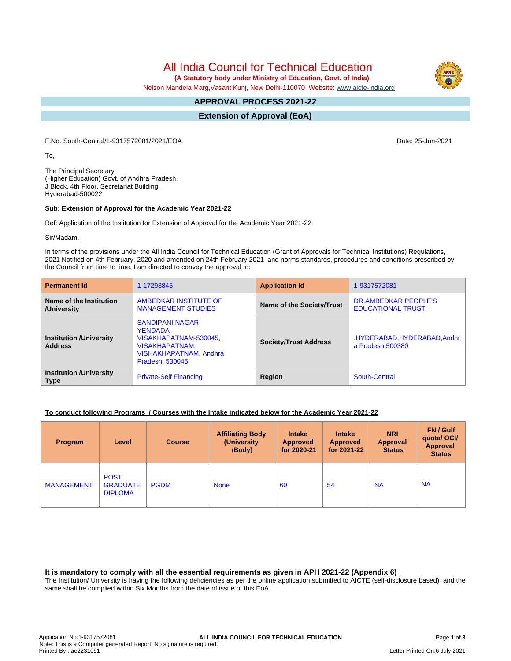All India Council for Technical Education

 **(A Statutory body under Ministry of Education, Govt. of India)**

Nelson Mandela Marg,Vasant Kunj, New Delhi-110070 Website: [www.aicte-india.org](http://www.aicte-india.org)

#### **APPROVAL PROCESS 2021-22 -**

**Extension of Approval (EoA)**

F.No. South-Central/1-9317572081/2021/EOA Date: 25-Jun-2021

To,

The Principal Secretary (Higher Education) Govt. of Andhra Pradesh, J Block, 4th Floor, Secretariat Building, Hyderabad-500022

#### **Sub: Extension of Approval for the Academic Year 2021-22**

Ref: Application of the Institution for Extension of Approval for the Academic Year 2021-22

Sir/Madam,

In terms of the provisions under the All India Council for Technical Education (Grant of Approvals for Technical Institutions) Regulations, 2021 Notified on 4th February, 2020 and amended on 24th February 2021 and norms standards, procedures and conditions prescribed by the Council from time to time, I am directed to convey the approval to:

| <b>Permanent Id</b>                              | 1-17293845                                                                                                                              | <b>Application Id</b>        | 1-9317572081                                     |  |
|--------------------------------------------------|-----------------------------------------------------------------------------------------------------------------------------------------|------------------------------|--------------------------------------------------|--|
| Name of the Institution<br>/University           | AMBEDKAR INSTITUTE OF<br><b>MANAGEMENT STUDIES</b>                                                                                      | Name of the Society/Trust    | DR.AMBEDKAR PEOPLE'S<br><b>EDUCATIONAL TRUST</b> |  |
| <b>Institution /University</b><br><b>Address</b> | <b>SANDIPANI NAGAR</b><br><b>YENDADA</b><br>VISAKHAPATNAM-530045,<br><b>VISAKHAPATNAM,</b><br>VISHAKHAPATNAM, Andhra<br>Pradesh, 530045 | <b>Society/Trust Address</b> | ,HYDERABAD,HYDERABAD,Andhr<br>a Pradesh, 500380  |  |
| <b>Institution /University</b><br><b>Type</b>    | <b>Private-Self Financing</b>                                                                                                           | Region                       | South-Central                                    |  |

### **To conduct following Programs / Courses with the Intake indicated below for the Academic Year 2021-22**

| Program           | Level                                            | <b>Course</b> | <b>Affiliating Body</b><br>(University<br>/Body) | <b>Intake</b><br><b>Approved</b><br>for 2020-21 | <b>Intake</b><br><b>Approved</b><br>for 2021-22 | <b>NRI</b><br><b>Approval</b><br><b>Status</b> | FN / Gulf<br>quotal OCI/<br><b>Approval</b><br><b>Status</b> |
|-------------------|--------------------------------------------------|---------------|--------------------------------------------------|-------------------------------------------------|-------------------------------------------------|------------------------------------------------|--------------------------------------------------------------|
| <b>MANAGEMENT</b> | <b>POST</b><br><b>GRADUATE</b><br><b>DIPLOMA</b> | <b>PGDM</b>   | <b>None</b>                                      | 60                                              | 54                                              | <b>NA</b>                                      | <b>NA</b>                                                    |

### **It is mandatory to comply with all the essential requirements as given in APH 2021-22 (Appendix 6)**

The Institution/ University is having the following deficiencies as per the online application submitted to AICTE (self-disclosure based) and the same shall be complied within Six Months from the date of issue of this EoA

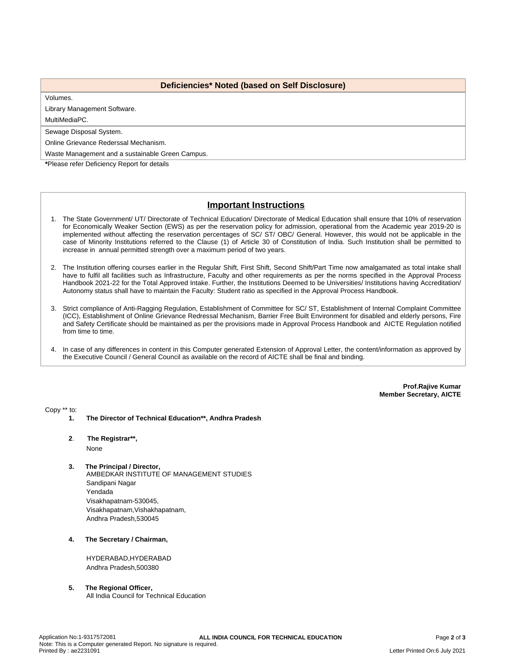### **Deficiencies\* Noted (based on Self Disclosure)**

Volumes.

Library Management Software.

MultiMediaPC.

Sewage Disposal System.

Online Grievance Rederssal Mechanism.

Waste Management and a sustainable Green Campus.

**\***Please refer Deficiency Report for details

# **Important Instructions**

- 1. The State Government/ UT/ Directorate of Technical Education/ Directorate of Medical Education shall ensure that 10% of reservation for Economically Weaker Section (EWS) as per the reservation policy for admission, operational from the Academic year 2019-20 is implemented without affecting the reservation percentages of SC/ ST/ OBC/ General. However, this would not be applicable in the case of Minority Institutions referred to the Clause (1) of Article 30 of Constitution of India. Such Institution shall be permitted to increase in annual permitted strength over a maximum period of two years.
- 2. The Institution offering courses earlier in the Regular Shift, First Shift, Second Shift/Part Time now amalgamated as total intake shall have to fulfil all facilities such as Infrastructure, Faculty and other requirements as per the norms specified in the Approval Process Handbook 2021-22 for the Total Approved Intake. Further, the Institutions Deemed to be Universities/ Institutions having Accreditation/ Autonomy status shall have to maintain the Faculty: Student ratio as specified in the Approval Process Handbook.
- 3. Strict compliance of Anti-Ragging Regulation, Establishment of Committee for SC/ ST, Establishment of Internal Complaint Committee (ICC), Establishment of Online Grievance Redressal Mechanism, Barrier Free Built Environment for disabled and elderly persons, Fire and Safety Certificate should be maintained as per the provisions made in Approval Process Handbook and AICTE Regulation notified from time to time.
- 4. In case of any differences in content in this Computer generated Extension of Approval Letter, the content/information as approved by the Executive Council / General Council as available on the record of AICTE shall be final and binding.

**Prof.Rajive Kumar Member Secretary, AICTE**

Copy \*\* to:

**1. The Director of Technical Education\*\*, Andhra Pradesh**

## **2**. **The Registrar\*\*,**

None

- **3. The Principal / Director,** AMBEDKAR INSTITUTE OF MANAGEMENT STUDIES Sandipani Nagar Yendada Visakhapatnam-530045, Visakhapatnam,Vishakhapatnam, Andhra Pradesh,530045
- **4. The Secretary / Chairman,**

HYDERABAD,HYDERABAD Andhra Pradesh,500380

#### **5. The Regional Officer,**

All India Council for Technical Education